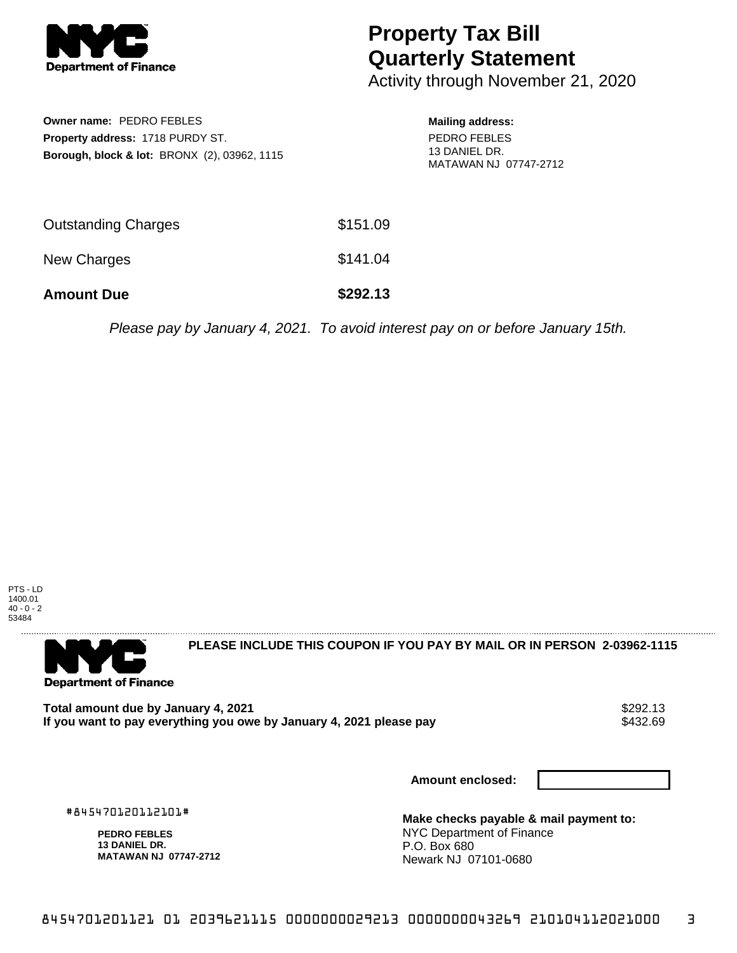

## **Property Tax Bill Quarterly Statement**

Activity through November 21, 2020

| Owner name: PEDRO FEBLES<br><b>Property address: 1718 PURDY ST.</b><br><b>Borough, block &amp; lot: BRONX (2), 03962, 1115</b> | <b>Mailing address:</b><br>PEDRO FEBLES<br>13 DANIEL DR.<br>MATAWAN NJ 07747-2712 |
|--------------------------------------------------------------------------------------------------------------------------------|-----------------------------------------------------------------------------------|
| <b>Outstanding Charges</b>                                                                                                     | \$151.09                                                                          |
| <b>New Charges</b>                                                                                                             | \$141.04                                                                          |
|                                                                                                                                |                                                                                   |

Please pay by January 4, 2021. To avoid interest pay on or before January 15th.





**PLEASE INCLUDE THIS COUPON IF YOU PAY BY MAIL OR IN PERSON 2-03962-1115** 

Total amount due by January 4, 2021<br>If you want to pay everything you owe by January 4, 2021 please pay **show that the summan wave of the s**432.69 If you want to pay everything you owe by January 4, 2021 please pay

**Amount Due \$292.13**

**Amount enclosed:**

#845470120112101#

**PEDRO FEBLES 13 DANIEL DR. MATAWAN NJ 07747-2712** **Make checks payable & mail payment to:** NYC Department of Finance P.O. Box 680 Newark NJ 07101-0680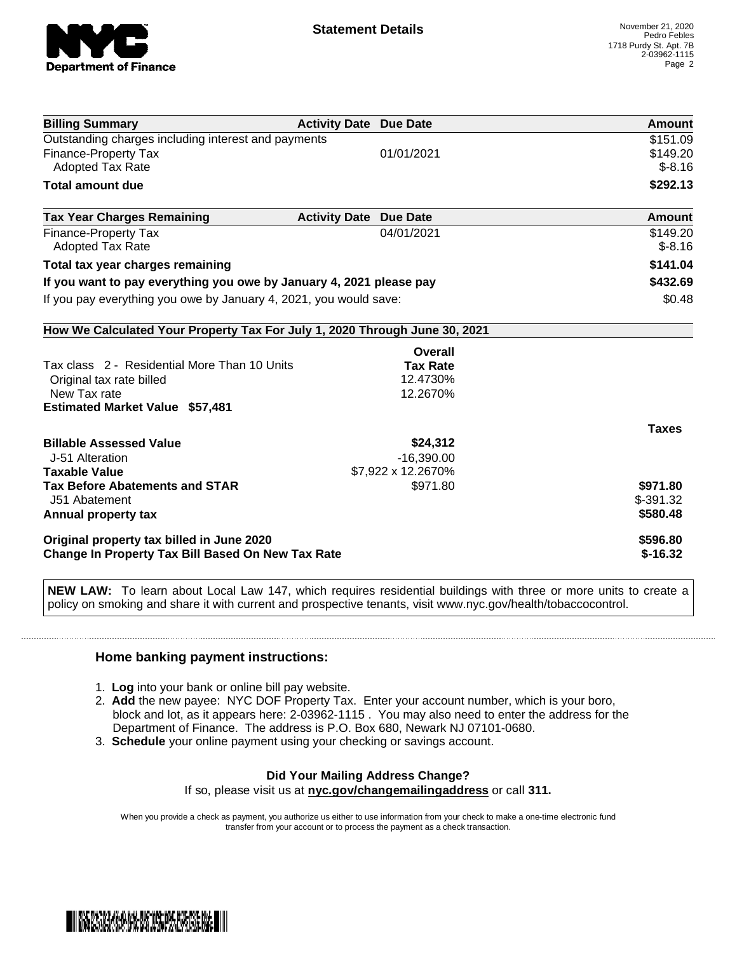

| <b>Billing Summary</b>                                                     | <b>Activity Date Due Date</b> |                    | Amount       |
|----------------------------------------------------------------------------|-------------------------------|--------------------|--------------|
| Outstanding charges including interest and payments                        |                               |                    | \$151.09     |
| <b>Finance-Property Tax</b>                                                |                               | 01/01/2021         | \$149.20     |
| <b>Adopted Tax Rate</b>                                                    |                               |                    | $$-8.16$     |
| <b>Total amount due</b>                                                    |                               |                    | \$292.13     |
| <b>Tax Year Charges Remaining</b>                                          | <b>Activity Date Due Date</b> |                    | Amount       |
| Finance-Property Tax                                                       |                               | 04/01/2021         | \$149.20     |
| <b>Adopted Tax Rate</b>                                                    |                               |                    | $$-8.16$     |
| Total tax year charges remaining                                           |                               |                    | \$141.04     |
| If you want to pay everything you owe by January 4, 2021 please pay        |                               | \$432.69           |              |
| If you pay everything you owe by January 4, 2021, you would save:          |                               | \$0.48             |              |
| How We Calculated Your Property Tax For July 1, 2020 Through June 30, 2021 |                               |                    |              |
|                                                                            |                               | Overall            |              |
| Tax class 2 - Residential More Than 10 Units                               |                               | <b>Tax Rate</b>    |              |
| Original tax rate billed                                                   |                               | 12.4730%           |              |
| New Tax rate                                                               |                               | 12.2670%           |              |
| <b>Estimated Market Value \$57,481</b>                                     |                               |                    |              |
|                                                                            |                               |                    | <b>Taxes</b> |
| <b>Billable Assessed Value</b>                                             |                               | \$24,312           |              |
| J-51 Alteration                                                            |                               | $-16,390.00$       |              |
| <b>Taxable Value</b>                                                       |                               | \$7,922 x 12.2670% |              |
| <b>Tax Before Abatements and STAR</b>                                      |                               | \$971.80           | \$971.80     |
| J51 Abatement                                                              |                               |                    | $$-391.32$   |
| Annual property tax                                                        |                               |                    | \$580.48     |
| Original property tax billed in June 2020                                  |                               |                    | \$596.80     |
| Change In Property Tax Bill Based On New Tax Rate                          |                               |                    | $$-16.32$    |

**NEW LAW:** To learn about Local Law 147, which requires residential buildings with three or more units to create a policy on smoking and share it with current and prospective tenants, visit www.nyc.gov/health/tobaccocontrol.

## **Home banking payment instructions:**

- 1. **Log** into your bank or online bill pay website.
- 2. **Add** the new payee: NYC DOF Property Tax. Enter your account number, which is your boro, block and lot, as it appears here: 2-03962-1115 . You may also need to enter the address for the Department of Finance. The address is P.O. Box 680, Newark NJ 07101-0680.
- 3. **Schedule** your online payment using your checking or savings account.

## **Did Your Mailing Address Change?**

If so, please visit us at **nyc.gov/changemailingaddress** or call **311.**

When you provide a check as payment, you authorize us either to use information from your check to make a one-time electronic fund transfer from your account or to process the payment as a check transaction.